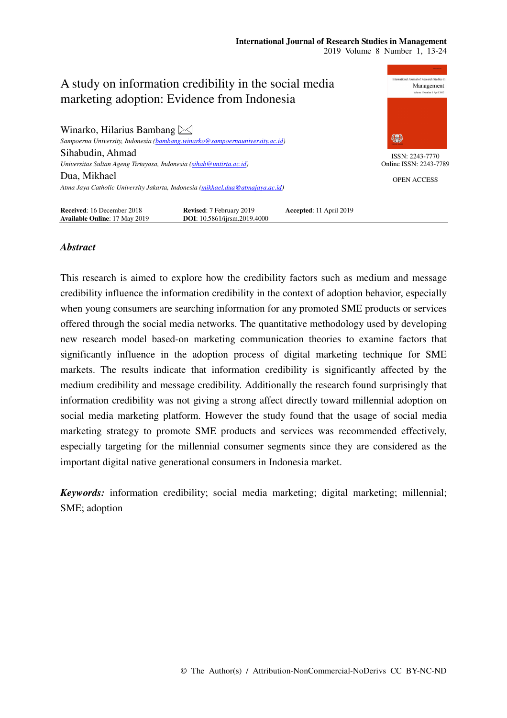#### **International Journal of Research Studies in Management**  2019 Volume 8 Number 1, 13-24



# *Abstract*

This research is aimed to explore how the credibility factors such as medium and message credibility influence the information credibility in the context of adoption behavior, especially when young consumers are searching information for any promoted SME products or services offered through the social media networks. The quantitative methodology used by developing new research model based-on marketing communication theories to examine factors that significantly influence in the adoption process of digital marketing technique for SME markets. The results indicate that information credibility is significantly affected by the medium credibility and message credibility. Additionally the research found surprisingly that information credibility was not giving a strong affect directly toward millennial adoption on social media marketing platform. However the study found that the usage of social media marketing strategy to promote SME products and services was recommended effectively, especially targeting for the millennial consumer segments since they are considered as the important digital native generational consumers in Indonesia market.

*Keywords:* information credibility; social media marketing; digital marketing; millennial; SME; adoption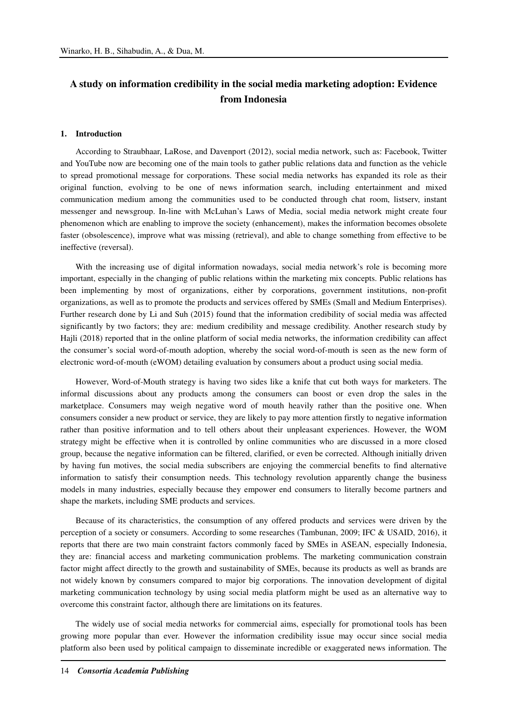# **A study on information credibility in the social media marketing adoption: Evidence from Indonesia**

#### **1. Introduction**

According to Straubhaar, LaRose, and Davenport (2012), social media network, such as: Facebook, Twitter and YouTube now are becoming one of the main tools to gather public relations data and function as the vehicle to spread promotional message for corporations. These social media networks has expanded its role as their original function, evolving to be one of news information search, including entertainment and mixed communication medium among the communities used to be conducted through chat room, listserv, instant messenger and newsgroup. In-line with McLuhan's Laws of Media, social media network might create four phenomenon which are enabling to improve the society (enhancement), makes the information becomes obsolete faster (obsolescence), improve what was missing (retrieval), and able to change something from effective to be ineffective (reversal).

With the increasing use of digital information nowadays, social media network's role is becoming more important, especially in the changing of public relations within the marketing mix concepts. Public relations has been implementing by most of organizations, either by corporations, government institutions, non-profit organizations, as well as to promote the products and services offered by SMEs (Small and Medium Enterprises). Further research done by Li and Suh (2015) found that the information credibility of social media was affected significantly by two factors; they are: medium credibility and message credibility. Another research study by Hajli (2018) reported that in the online platform of social media networks, the information credibility can affect the consumer's social word-of-mouth adoption, whereby the social word-of-mouth is seen as the new form of electronic word-of-mouth (eWOM) detailing evaluation by consumers about a product using social media.

However, Word-of-Mouth strategy is having two sides like a knife that cut both ways for marketers. The informal discussions about any products among the consumers can boost or even drop the sales in the marketplace. Consumers may weigh negative word of mouth heavily rather than the positive one. When consumers consider a new product or service, they are likely to pay more attention firstly to negative information rather than positive information and to tell others about their unpleasant experiences. However, the WOM strategy might be effective when it is controlled by online communities who are discussed in a more closed group, because the negative information can be filtered, clarified, or even be corrected. Although initially driven by having fun motives, the social media subscribers are enjoying the commercial benefits to find alternative information to satisfy their consumption needs. This technology revolution apparently change the business models in many industries, especially because they empower end consumers to literally become partners and shape the markets, including SME products and services.

Because of its characteristics, the consumption of any offered products and services were driven by the perception of a society or consumers. According to some researches (Tambunan, 2009; IFC & USAID, 2016), it reports that there are two main constraint factors commonly faced by SMEs in ASEAN, especially Indonesia, they are: financial access and marketing communication problems. The marketing communication constrain factor might affect directly to the growth and sustainability of SMEs, because its products as well as brands are not widely known by consumers compared to major big corporations. The innovation development of digital marketing communication technology by using social media platform might be used as an alternative way to overcome this constraint factor, although there are limitations on its features.

The widely use of social media networks for commercial aims, especially for promotional tools has been growing more popular than ever. However the information credibility issue may occur since social media platform also been used by political campaign to disseminate incredible or exaggerated news information. The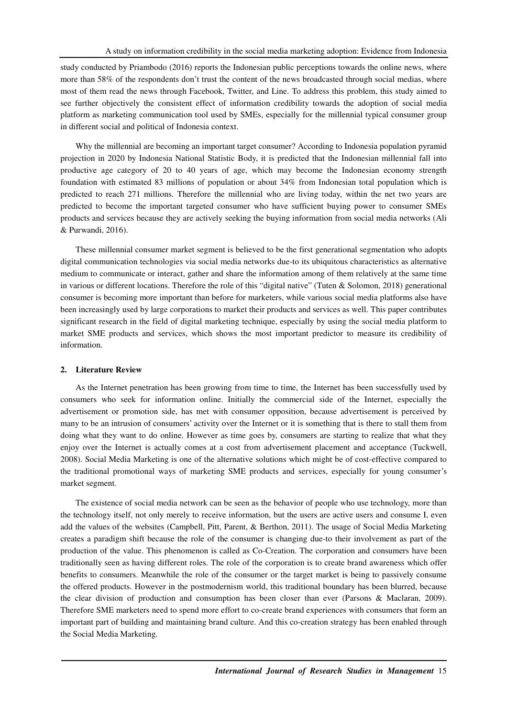study conducted by Priambodo (2016) reports the Indonesian public perceptions towards the online news, where more than 58% of the respondents don't trust the content of the news broadcasted through social medias, where most of them read the news through Facebook, Twitter, and Line. To address this problem, this study aimed to see further objectively the consistent effect of information credibility towards the adoption of social media platform as marketing communication tool used by SMEs, especially for the millennial typical consumer group in different social and political of Indonesia context.

Why the millennial are becoming an important target consumer? According to Indonesia population pyramid projection in 2020 by Indonesia National Statistic Body, it is predicted that the Indonesian millennial fall into productive age category of 20 to 40 years of age, which may become the Indonesian economy strength foundation with estimated 83 millions of population or about 34% from Indonesian total population which is predicted to reach 271 millions. Therefore the millennial who are living today, within the net two years are predicted to become the important targeted consumer who have sufficient buying power to consumer SMEs products and services because they are actively seeking the buying information from social media networks (Ali & Purwandi, 2016).

These millennial consumer market segment is believed to be the first generational segmentation who adopts digital communication technologies via social media networks due-to its ubiquitous characteristics as alternative medium to communicate or interact, gather and share the information among of them relatively at the same time in various or different locations. Therefore the role of this "digital native" (Tuten & Solomon, 2018) generational consumer is becoming more important than before for marketers, while various social media platforms also have been increasingly used by large corporations to market their products and services as well. This paper contributes significant research in the field of digital marketing technique, especially by using the social media platform to market SME products and services, which shows the most important predictor to measure its credibility of information.

#### **2. Literature Review**

As the Internet penetration has been growing from time to time, the Internet has been successfully used by consumers who seek for information online. Initially the commercial side of the Internet, especially the advertisement or promotion side, has met with consumer opposition, because advertisement is perceived by many to be an intrusion of consumers' activity over the Internet or it is something that is there to stall them from doing what they want to do online. However as time goes by, consumers are starting to realize that what they enjoy over the Internet is actually comes at a cost from advertisement placement and acceptance (Tuckwell, 2008). Social Media Marketing is one of the alternative solutions which might be of cost-effective compared to the traditional promotional ways of marketing SME products and services, especially for young consumer's market segment.

The existence of social media network can be seen as the behavior of people who use technology, more than the technology itself, not only merely to receive information, but the users are active users and consume I, even add the values of the websites (Campbell, Pitt, Parent, & Berthon, 2011). The usage of Social Media Marketing creates a paradigm shift because the role of the consumer is changing due-to their involvement as part of the production of the value. This phenomenon is called as Co-Creation. The corporation and consumers have been traditionally seen as having different roles. The role of the corporation is to create brand awareness which offer benefits to consumers. Meanwhile the role of the consumer or the target market is being to passively consume the offered products. However in the postmodernism world, this traditional boundary has been blurred, because the clear division of production and consumption has been closer than ever (Parsons & Maclaran, 2009). Therefore SME marketers need to spend more effort to co-create brand experiences with consumers that form an important part of building and maintaining brand culture. And this co-creation strategy has been enabled through the Social Media Marketing.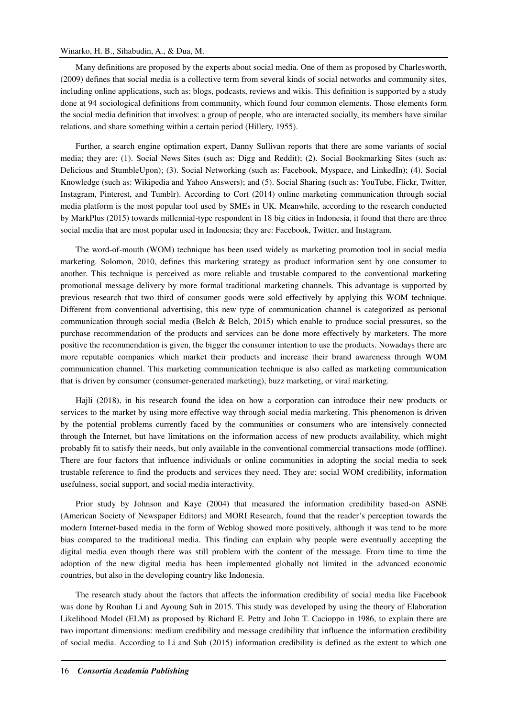## Winarko, H. B., Sihabudin, A., & Dua, M.

Many definitions are proposed by the experts about social media. One of them as proposed by Charlesworth, (2009) defines that social media is a collective term from several kinds of social networks and community sites, including online applications, such as: blogs, podcasts, reviews and wikis. This definition is supported by a study done at 94 sociological definitions from community, which found four common elements. Those elements form the social media definition that involves: a group of people, who are interacted socially, its members have similar relations, and share something within a certain period (Hillery, 1955).

Further, a search engine optimation expert, Danny Sullivan reports that there are some variants of social media; they are: (1). Social News Sites (such as: Digg and Reddit); (2). Social Bookmarking Sites (such as: Delicious and StumbleUpon); (3). Social Networking (such as: Facebook, Myspace, and LinkedIn); (4). Social Knowledge (such as: Wikipedia and Yahoo Answers); and (5). Social Sharing (such as: YouTube, Flickr, Twitter, Instagram, Pinterest, and Tumblr). According to Cort (2014) online marketing communication through social media platform is the most popular tool used by SMEs in UK. Meanwhile, according to the research conducted by MarkPlus (2015) towards millennial-type respondent in 18 big cities in Indonesia, it found that there are three social media that are most popular used in Indonesia; they are: Facebook, Twitter, and Instagram.

The word-of-mouth (WOM) technique has been used widely as marketing promotion tool in social media marketing. Solomon, 2010, defines this marketing strategy as product information sent by one consumer to another. This technique is perceived as more reliable and trustable compared to the conventional marketing promotional message delivery by more formal traditional marketing channels. This advantage is supported by previous research that two third of consumer goods were sold effectively by applying this WOM technique. Different from conventional advertising, this new type of communication channel is categorized as personal communication through social media (Belch  $\&$  Belch, 2015) which enable to produce social pressures, so the purchase recommendation of the products and services can be done more effectively by marketers. The more positive the recommendation is given, the bigger the consumer intention to use the products. Nowadays there are more reputable companies which market their products and increase their brand awareness through WOM communication channel. This marketing communication technique is also called as marketing communication that is driven by consumer (consumer-generated marketing), buzz marketing, or viral marketing.

Hajli (2018), in his research found the idea on how a corporation can introduce their new products or services to the market by using more effective way through social media marketing. This phenomenon is driven by the potential problems currently faced by the communities or consumers who are intensively connected through the Internet, but have limitations on the information access of new products availability, which might probably fit to satisfy their needs, but only available in the conventional commercial transactions mode (offline). There are four factors that influence individuals or online communities in adopting the social media to seek trustable reference to find the products and services they need. They are: social WOM credibility, information usefulness, social support, and social media interactivity.

Prior study by Johnson and Kaye (2004) that measured the information credibility based-on ASNE (American Society of Newspaper Editors) and MORI Research, found that the reader's perception towards the modern Internet-based media in the form of Weblog showed more positively, although it was tend to be more bias compared to the traditional media. This finding can explain why people were eventually accepting the digital media even though there was still problem with the content of the message. From time to time the adoption of the new digital media has been implemented globally not limited in the advanced economic countries, but also in the developing country like Indonesia.

The research study about the factors that affects the information credibility of social media like Facebook was done by Rouhan Li and Ayoung Suh in 2015. This study was developed by using the theory of Elaboration Likelihood Model (ELM) as proposed by Richard E. Petty and John T. Cacioppo in 1986, to explain there are two important dimensions: medium credibility and message credibility that influence the information credibility of social media. According to Li and Suh (2015) information credibility is defined as the extent to which one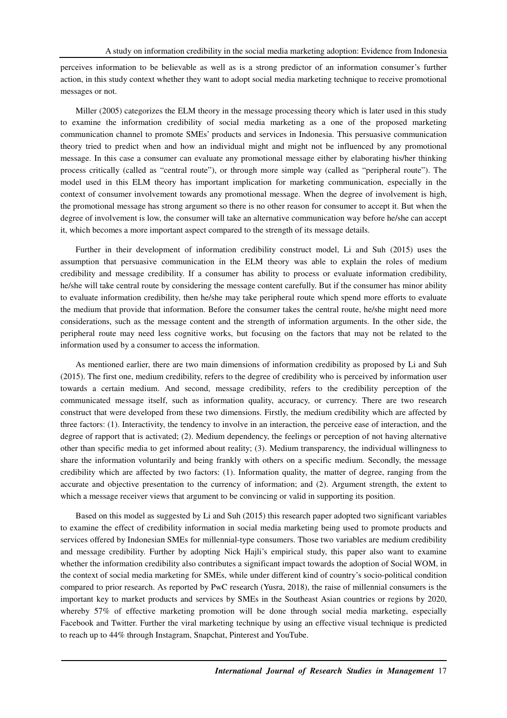perceives information to be believable as well as is a strong predictor of an information consumer's further action, in this study context whether they want to adopt social media marketing technique to receive promotional messages or not.

Miller (2005) categorizes the ELM theory in the message processing theory which is later used in this study to examine the information credibility of social media marketing as a one of the proposed marketing communication channel to promote SMEs' products and services in Indonesia. This persuasive communication theory tried to predict when and how an individual might and might not be influenced by any promotional message. In this case a consumer can evaluate any promotional message either by elaborating his/her thinking process critically (called as "central route"), or through more simple way (called as "peripheral route"). The model used in this ELM theory has important implication for marketing communication, especially in the context of consumer involvement towards any promotional message. When the degree of involvement is high, the promotional message has strong argument so there is no other reason for consumer to accept it. But when the degree of involvement is low, the consumer will take an alternative communication way before he/she can accept it, which becomes a more important aspect compared to the strength of its message details.

Further in their development of information credibility construct model, Li and Suh (2015) uses the assumption that persuasive communication in the ELM theory was able to explain the roles of medium credibility and message credibility. If a consumer has ability to process or evaluate information credibility, he/she will take central route by considering the message content carefully. But if the consumer has minor ability to evaluate information credibility, then he/she may take peripheral route which spend more efforts to evaluate the medium that provide that information. Before the consumer takes the central route, he/she might need more considerations, such as the message content and the strength of information arguments. In the other side, the peripheral route may need less cognitive works, but focusing on the factors that may not be related to the information used by a consumer to access the information.

As mentioned earlier, there are two main dimensions of information credibility as proposed by Li and Suh (2015). The first one, medium credibility, refers to the degree of credibility who is perceived by information user towards a certain medium. And second, message credibility, refers to the credibility perception of the communicated message itself, such as information quality, accuracy, or currency. There are two research construct that were developed from these two dimensions. Firstly, the medium credibility which are affected by three factors: (1). Interactivity, the tendency to involve in an interaction, the perceive ease of interaction, and the degree of rapport that is activated; (2). Medium dependency, the feelings or perception of not having alternative other than specific media to get informed about reality; (3). Medium transparency, the individual willingness to share the information voluntarily and being frankly with others on a specific medium. Secondly, the message credibility which are affected by two factors: (1). Information quality, the matter of degree, ranging from the accurate and objective presentation to the currency of information; and (2). Argument strength, the extent to which a message receiver views that argument to be convincing or valid in supporting its position.

Based on this model as suggested by Li and Suh (2015) this research paper adopted two significant variables to examine the effect of credibility information in social media marketing being used to promote products and services offered by Indonesian SMEs for millennial-type consumers. Those two variables are medium credibility and message credibility. Further by adopting Nick Hajli's empirical study, this paper also want to examine whether the information credibility also contributes a significant impact towards the adoption of Social WOM, in the context of social media marketing for SMEs, while under different kind of country's socio-political condition compared to prior research. As reported by PwC research (Yusra, 2018), the raise of millennial consumers is the important key to market products and services by SMEs in the Southeast Asian countries or regions by 2020, whereby 57% of effective marketing promotion will be done through social media marketing, especially Facebook and Twitter. Further the viral marketing technique by using an effective visual technique is predicted to reach up to 44% through Instagram, Snapchat, Pinterest and YouTube.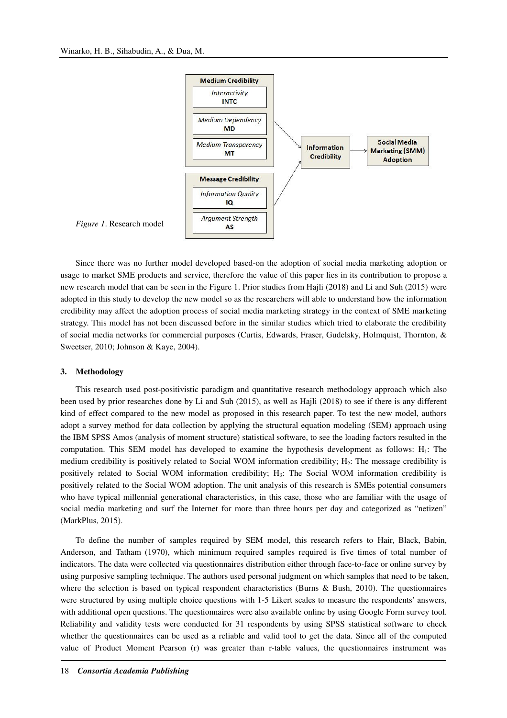

*Figure 1*. Research model

Since there was no further model developed based-on the adoption of social media marketing adoption or usage to market SME products and service, therefore the value of this paper lies in its contribution to propose a new research model that can be seen in the Figure 1. Prior studies from Hajli (2018) and Li and Suh (2015) were adopted in this study to develop the new model so as the researchers will able to understand how the information credibility may affect the adoption process of social media marketing strategy in the context of SME marketing strategy. This model has not been discussed before in the similar studies which tried to elaborate the credibility of social media networks for commercial purposes (Curtis, Edwards, Fraser, Gudelsky, Holmquist, Thornton, & Sweetser, 2010; Johnson & Kaye, 2004).

#### **3. Methodology**

This research used post-positivistic paradigm and quantitative research methodology approach which also been used by prior researches done by Li and Suh (2015), as well as Hajli (2018) to see if there is any different kind of effect compared to the new model as proposed in this research paper. To test the new model, authors adopt a survey method for data collection by applying the structural equation modeling (SEM) approach using the IBM SPSS Amos (analysis of moment structure) statistical software, to see the loading factors resulted in the computation. This SEM model has developed to examine the hypothesis development as follows:  $H_1$ : The medium credibility is positively related to Social WOM information credibility;  $H_2$ : The message credibility is positively related to Social WOM information credibility; H<sub>3</sub>: The Social WOM information credibility is positively related to the Social WOM adoption. The unit analysis of this research is SMEs potential consumers who have typical millennial generational characteristics, in this case, those who are familiar with the usage of social media marketing and surf the Internet for more than three hours per day and categorized as "netizen" (MarkPlus, 2015).

To define the number of samples required by SEM model, this research refers to Hair, Black, Babin, Anderson, and Tatham (1970), which minimum required samples required is five times of total number of indicators. The data were collected via questionnaires distribution either through face-to-face or online survey by using purposive sampling technique. The authors used personal judgment on which samples that need to be taken, where the selection is based on typical respondent characteristics (Burns & Bush, 2010). The questionnaires were structured by using multiple choice questions with 1-5 Likert scales to measure the respondents' answers, with additional open questions. The questionnaires were also available online by using Google Form survey tool. Reliability and validity tests were conducted for 31 respondents by using SPSS statistical software to check whether the questionnaires can be used as a reliable and valid tool to get the data. Since all of the computed value of Product Moment Pearson (r) was greater than r-table values, the questionnaires instrument was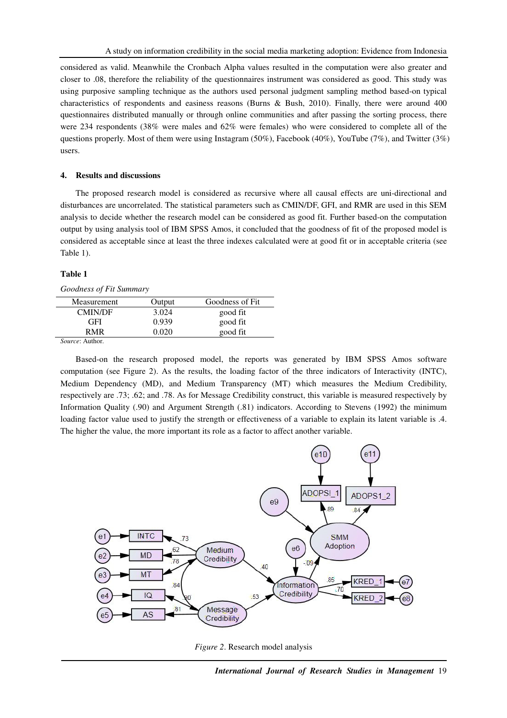considered as valid. Meanwhile the Cronbach Alpha values resulted in the computation were also greater and closer to .08, therefore the reliability of the questionnaires instrument was considered as good. This study was using purposive sampling technique as the authors used personal judgment sampling method based-on typical characteristics of respondents and easiness reasons (Burns & Bush, 2010). Finally, there were around 400 questionnaires distributed manually or through online communities and after passing the sorting process, there were 234 respondents (38% were males and 62% were females) who were considered to complete all of the questions properly. Most of them were using Instagram (50%), Facebook (40%), YouTube (7%), and Twitter (3%) users.

#### **4. Results and discussions**

The proposed research model is considered as recursive where all causal effects are uni-directional and disturbances are uncorrelated. The statistical parameters such as CMIN/DF, GFI, and RMR are used in this SEM analysis to decide whether the research model can be considered as good fit. Further based-on the computation output by using analysis tool of IBM SPSS Amos, it concluded that the goodness of fit of the proposed model is considered as acceptable since at least the three indexes calculated were at good fit or in acceptable criteria (see Table 1).

#### **Table 1**

#### *Goodness of Fit Summary*

| Measurement    | Output | Goodness of Fit |
|----------------|--------|-----------------|
| <b>CMIN/DF</b> | 3.024  | good fit        |
| GFI            | 0.939  | good fit        |
| R MR           | Ი ᲘᲔᲘ  | good fit        |

*Source*: Author.

Based-on the research proposed model, the reports was generated by IBM SPSS Amos software computation (see Figure 2). As the results, the loading factor of the three indicators of Interactivity (INTC), Medium Dependency (MD), and Medium Transparency (MT) which measures the Medium Credibility, respectively are .73; .62; and .78. As for Message Credibility construct, this variable is measured respectively by Information Quality (.90) and Argument Strength (.81) indicators. According to Stevens (1992) the minimum loading factor value used to justify the strength or effectiveness of a variable to explain its latent variable is  $.4$ . The higher the value, the more important its role as a factor to affect another variable.



*Figure 2*. Research model analysis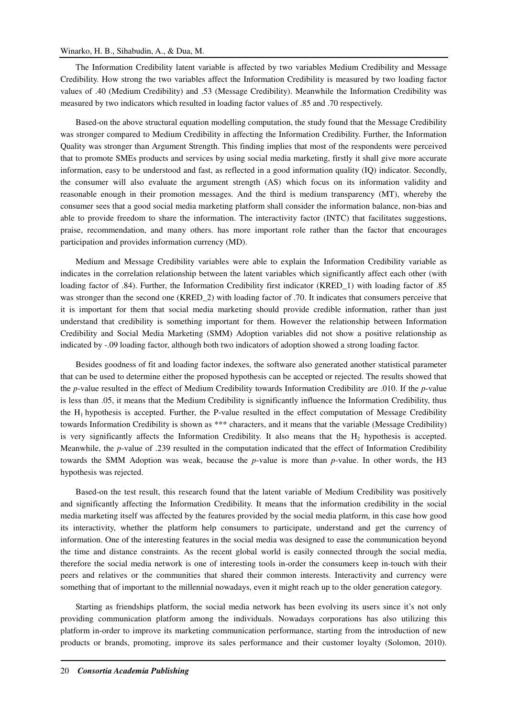## Winarko, H. B., Sihabudin, A., & Dua, M.

The Information Credibility latent variable is affected by two variables Medium Credibility and Message Credibility. How strong the two variables affect the Information Credibility is measured by two loading factor values of .40 (Medium Credibility) and .53 (Message Credibility). Meanwhile the Information Credibility was measured by two indicators which resulted in loading factor values of .85 and .70 respectively.

Based-on the above structural equation modelling computation, the study found that the Message Credibility was stronger compared to Medium Credibility in affecting the Information Credibility. Further, the Information Quality was stronger than Argument Strength. This finding implies that most of the respondents were perceived that to promote SMEs products and services by using social media marketing, firstly it shall give more accurate information, easy to be understood and fast, as reflected in a good information quality (IQ) indicator. Secondly, the consumer will also evaluate the argument strength (AS) which focus on its information validity and reasonable enough in their promotion messages. And the third is medium transparency (MT), whereby the consumer sees that a good social media marketing platform shall consider the information balance, non-bias and able to provide freedom to share the information. The interactivity factor (INTC) that facilitates suggestions, praise, recommendation, and many others. has more important role rather than the factor that encourages participation and provides information currency (MD).

Medium and Message Credibility variables were able to explain the Information Credibility variable as indicates in the correlation relationship between the latent variables which significantly affect each other (with loading factor of .84). Further, the Information Credibility first indicator (KRED\_1) with loading factor of .85 was stronger than the second one (KRED\_2) with loading factor of .70. It indicates that consumers perceive that it is important for them that social media marketing should provide credible information, rather than just understand that credibility is something important for them. However the relationship between Information Credibility and Social Media Marketing (SMM) Adoption variables did not show a positive relationship as indicated by -.09 loading factor, although both two indicators of adoption showed a strong loading factor.

Besides goodness of fit and loading factor indexes, the software also generated another statistical parameter that can be used to determine either the proposed hypothesis can be accepted or rejected. The results showed that the *p*-value resulted in the effect of Medium Credibility towards Information Credibility are .010. If the *p*-value is less than .05, it means that the Medium Credibility is significantly influence the Information Credibility, thus the  $H_1$  hypothesis is accepted. Further, the P-value resulted in the effect computation of Message Credibility towards Information Credibility is shown as \*\*\* characters, and it means that the variable (Message Credibility) is very significantly affects the Information Credibility. It also means that the  $H_2$  hypothesis is accepted. Meanwhile, the *p*-value of .239 resulted in the computation indicated that the effect of Information Credibility towards the SMM Adoption was weak, because the *p*-value is more than *p*-value. In other words, the H3 hypothesis was rejected.

Based-on the test result, this research found that the latent variable of Medium Credibility was positively and significantly affecting the Information Credibility. It means that the information credibility in the social media marketing itself was affected by the features provided by the social media platform, in this case how good its interactivity, whether the platform help consumers to participate, understand and get the currency of information. One of the interesting features in the social media was designed to ease the communication beyond the time and distance constraints. As the recent global world is easily connected through the social media, therefore the social media network is one of interesting tools in-order the consumers keep in-touch with their peers and relatives or the communities that shared their common interests. Interactivity and currency were something that of important to the millennial nowadays, even it might reach up to the older generation category.

Starting as friendships platform, the social media network has been evolving its users since it's not only providing communication platform among the individuals. Nowadays corporations has also utilizing this platform in-order to improve its marketing communication performance, starting from the introduction of new products or brands, promoting, improve its sales performance and their customer loyalty (Solomon, 2010).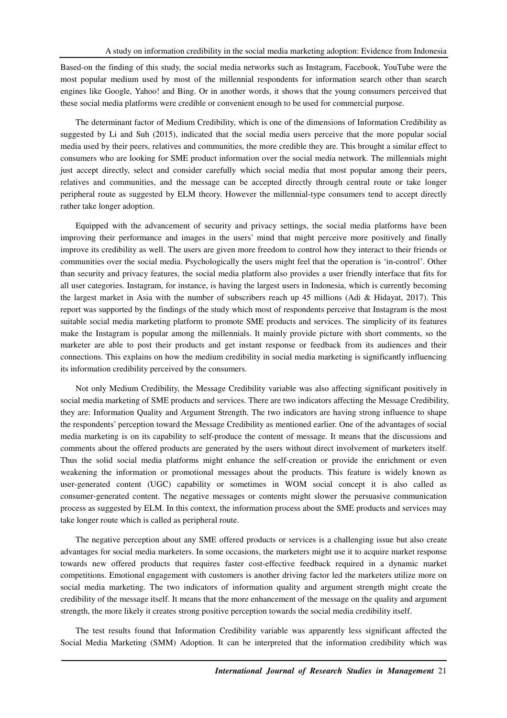Based-on the finding of this study, the social media networks such as Instagram, Facebook, YouTube were the most popular medium used by most of the millennial respondents for information search other than search engines like Google, Yahoo! and Bing. Or in another words, it shows that the young consumers perceived that these social media platforms were credible or convenient enough to be used for commercial purpose.

The determinant factor of Medium Credibility, which is one of the dimensions of Information Credibility as suggested by Li and Suh (2015), indicated that the social media users perceive that the more popular social media used by their peers, relatives and communities, the more credible they are. This brought a similar effect to consumers who are looking for SME product information over the social media network. The millennials might just accept directly, select and consider carefully which social media that most popular among their peers, relatives and communities, and the message can be accepted directly through central route or take longer peripheral route as suggested by ELM theory. However the millennial-type consumers tend to accept directly rather take longer adoption.

Equipped with the advancement of security and privacy settings, the social media platforms have been improving their performance and images in the users' mind that might perceive more positively and finally improve its credibility as well. The users are given more freedom to control how they interact to their friends or communities over the social media. Psychologically the users might feel that the operation is 'in-control'. Other than security and privacy features, the social media platform also provides a user friendly interface that fits for all user categories. Instagram, for instance, is having the largest users in Indonesia, which is currently becoming the largest market in Asia with the number of subscribers reach up 45 millions (Adi & Hidayat, 2017). This report was supported by the findings of the study which most of respondents perceive that Instagram is the most suitable social media marketing platform to promote SME products and services. The simplicity of its features make the Instagram is popular among the millennials. It mainly provide picture with short comments, so the marketer are able to post their products and get instant response or feedback from its audiences and their connections. This explains on how the medium credibility in social media marketing is significantly influencing its information credibility perceived by the consumers.

Not only Medium Credibility, the Message Credibility variable was also affecting significant positively in social media marketing of SME products and services. There are two indicators affecting the Message Credibility, they are: Information Quality and Argument Strength. The two indicators are having strong influence to shape the respondents' perception toward the Message Credibility as mentioned earlier. One of the advantages of social media marketing is on its capability to self-produce the content of message. It means that the discussions and comments about the offered products are generated by the users without direct involvement of marketers itself. Thus the solid social media platforms might enhance the self-creation or provide the enrichment or even weakening the information or promotional messages about the products. This feature is widely known as user-generated content (UGC) capability or sometimes in WOM social concept it is also called as consumer-generated content. The negative messages or contents might slower the persuasive communication process as suggested by ELM. In this context, the information process about the SME products and services may take longer route which is called as peripheral route.

The negative perception about any SME offered products or services is a challenging issue but also create advantages for social media marketers. In some occasions, the marketers might use it to acquire market response towards new offered products that requires faster cost-effective feedback required in a dynamic market competitions. Emotional engagement with customers is another driving factor led the marketers utilize more on social media marketing. The two indicators of information quality and argument strength might create the credibility of the message itself. It means that the more enhancement of the message on the quality and argument strength, the more likely it creates strong positive perception towards the social media credibility itself.

The test results found that Information Credibility variable was apparently less significant affected the Social Media Marketing (SMM) Adoption. It can be interpreted that the information credibility which was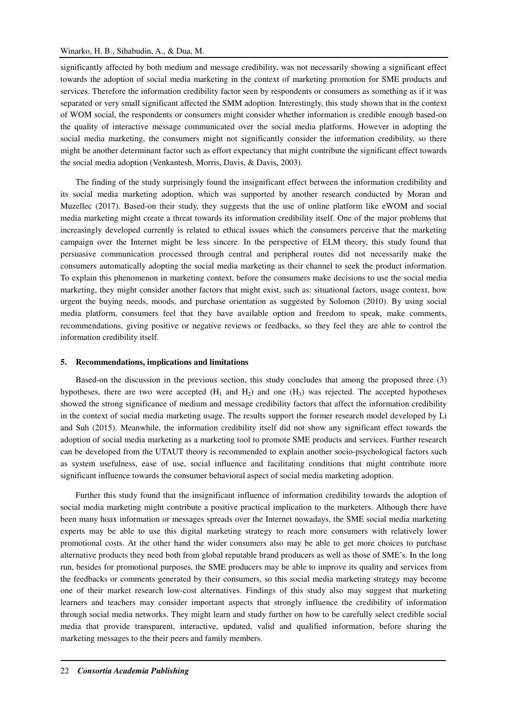significantly affected by both medium and message credibility, was not necessarily showing a significant effect towards the adoption of social media marketing in the context of marketing promotion for SME products and services. Therefore the information credibility factor seen by respondents or consumers as something as if it was separated or very small significant affected the SMM adoption. Interestingly, this study shown that in the context of WOM social, the respondents or consumers might consider whether information is credible enough based-on the quality of interactive message communicated over the social media platforms. However in adopting the social media marketing, the consumers might not significantly consider the information credibility, so there might be another determinant factor such as effort expectancy that might contribute the significant effect towards the social media adoption (Venkantesh, Morris, Davis, & Davis, 2003).

The finding of the study surprisingly found the insignificant effect between the information credibility and its social media marketing adoption, which was supported by another research conducted by Moran and Muzellec (2017). Based-on their study, they suggests that the use of online platform like eWOM and social media marketing might create a threat towards its information credibility itself. One of the major problems that increasingly developed currently is related to ethical issues which the consumers perceive that the marketing campaign over the Internet might be less sincere. In the perspective of ELM theory, this study found that persuasive communication processed through central and peripheral routes did not necessarily make the consumers automatically adopting the social media marketing as their channel to seek the product information. To explain this phenomenon in marketing context, before the consumers make decisions to use the social media marketing, they might consider another factors that might exist, such as: situational factors, usage context, how urgent the buying needs, moods, and purchase orientation as suggested by Solomon (2010). By using social media platform, consumers feel that they have available option and freedom to speak, make comments, recommendations, giving positive or negative reviews or feedbacks, so they feel they are able to control the information credibility itself.

# **5. Recommendations, implications and limitations**

Based-on the discussion in the previous section, this study concludes that among the proposed three (3) hypotheses, there are two were accepted  $(H_1 \text{ and } H_2)$  and one  $(H_3)$  was rejected. The accepted hypotheses showed the strong significance of medium and message credibility factors that affect the information credibility in the context of social media marketing usage. The results support the former research model developed by Li and Suh (2015). Meanwhile, the information credibility itself did not show any significant effect towards the adoption of social media marketing as a marketing tool to promote SME products and services. Further research can be developed from the UTAUT theory is recommended to explain another socio-psychological factors such as system usefulness, ease of use, social influence and facilitating conditions that might contribute more significant influence towards the consumer behavioral aspect of social media marketing adoption.

Further this study found that the insignificant influence of information credibility towards the adoption of social media marketing might contribute a positive practical implication to the marketers. Although there have been many hoax information or messages spreads over the Internet nowadays, the SME social media marketing experts may be able to use this digital marketing strategy to reach more consumers with relatively lower promotional costs. At the other hand the wider consumers also may be able to get more choices to purchase alternative products they need both from global reputable brand producers as well as those of SME's. In the long run, besides for promotional purposes, the SME producers may be able to improve its quality and services from the feedbacks or comments generated by their consumers, so this social media marketing strategy may become one of their market research low-cost alternatives. Findings of this study also may suggest that marketing learners and teachers may consider important aspects that strongly influence the credibility of information through social media networks. They might learn and study further on how to be carefully select credible social media that provide transparent, interactive, updated, valid and qualified information, before sharing the marketing messages to the their peers and family members.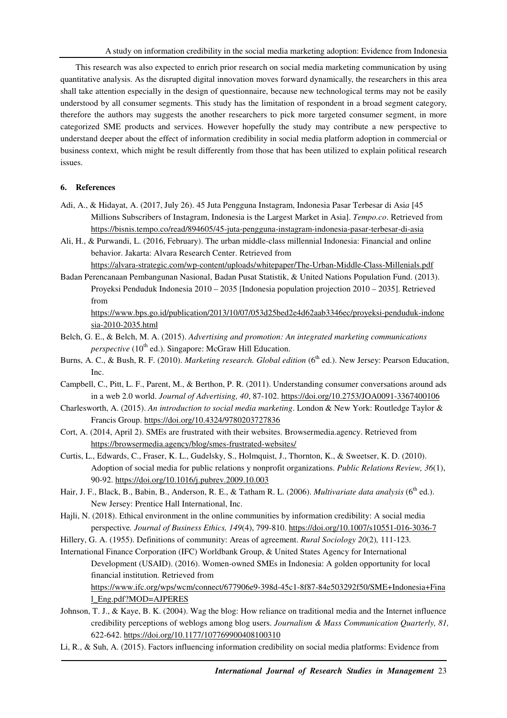This research was also expected to enrich prior research on social media marketing communication by using quantitative analysis. As the disrupted digital innovation moves forward dynamically, the researchers in this area shall take attention especially in the design of questionnaire, because new technological terms may not be easily understood by all consumer segments. This study has the limitation of respondent in a broad segment category, therefore the authors may suggests the another researchers to pick more targeted consumer segment, in more categorized SME products and services. However hopefully the study may contribute a new perspective to understand deeper about the effect of information credibility in social media platform adoption in commercial or business context, which might be result differently from those that has been utilized to explain political research issues.

# **6. References**

- Adi, A., & Hidayat, A. (2017, July 26). 45 Juta Pengguna Instagram, Indonesia Pasar Terbesar di Asi*a* [45 Millions Subscribers of Instagram, Indonesia is the Largest Market in Asia]. *Tempo.co*. Retrieved from https://bisnis.tempo.co/read/894605/45-juta-pengguna-instagram-indonesia-pasar-terbesar-di-asia
- Ali, H., & Purwandi, L. (2016, February). The urban middle-class millennial Indonesia: Financial and online behavior. Jakarta: Alvara Research Center. Retrieved from

https://alvara-strategic.com/wp-content/uploads/whitepaper/The-Urban-Middle-Class-Millenials.pdf

Badan Perencanaan Pembangunan Nasional, Badan Pusat Statistik, & United Nations Population Fund. (2013). Proyeksi Penduduk Indonesia 2010 – 2035 [Indonesia population projection 2010 – 2035]. Retrieved from

https://www.bps.go.id/publication/2013/10/07/053d25bed2e4d62aab3346ec/proyeksi-penduduk-indone sia-2010-2035.html

- Belch, G. E., & Belch, M. A. (2015). *Advertising and promotion: An integrated marketing communications perspective* (10<sup>th</sup> ed.). Singapore: McGraw Hill Education.
- Burns, A. C., & Bush, R. F. (2010). *Marketing research. Global edition* (6<sup>th</sup> ed.). New Jersey: Pearson Education, Inc.
- Campbell, C., Pitt, L. F., Parent, M., & Berthon, P. R. (2011). Understanding consumer conversations around ads in a web 2.0 world. *Journal of Advertising, 40*, 87-102. https://doi.org/10.2753/JOA0091-3367400106
- Charlesworth, A. (2015). *An introduction to social media marketing*. London & New York: Routledge Taylor & Francis Group. https://doi.org/10.4324/9780203727836
- Cort, A. (2014, April 2). SMEs are frustrated with their websites. Browsermedia.agency. Retrieved from https://browsermedia.agency/blog/smes-frustrated-websites/
- Curtis, L., Edwards, C., Fraser, K. L., Gudelsky, S., Holmquist, J., Thornton, K., & Sweetser, K. D. (2010). Adoption of social media for public relations y nonprofit organizations. *Public Relations Review, 36*(1), 90-92. https://doi.org/10.1016/j.pubrev.2009.10.003
- Hair, J. F., Black, B., Babin, B., Anderson, R. E., & Tatham R. L. (2006). *Multivariate data analysis* (6<sup>th</sup> ed.). New Jersey: Prentice Hall International, Inc.
- Hajli, N. (2018). Ethical environment in the online communities by information credibility: A social media perspective*. Journal of Business Ethics, 149*(4), 799-810. https://doi.org/10.1007/s10551-016-3036-7
- Hillery, G. A. (1955). Definitions of community: Areas of agreement. *Rural Sociology 20*(2)*,* 111-123*.*
- International Finance Corporation (IFC) Worldbank Group, & United States Agency for International Development (USAID). (2016). Women-owned SMEs in Indonesia: A golden opportunity for local financial institution. Retrieved from

https://www.ifc.org/wps/wcm/connect/677906e9-398d-45c1-8f87-84e503292f50/SME+Indonesia+Fina l\_Eng.pdf?MOD=AJPERES

- Johnson, T. J., & Kaye, B. K. (2004). Wag the blog: How reliance on traditional media and the Internet influence credibility perceptions of weblogs among blog users. *Journalism & Mass Communication Quarterly, 81,*  622-642. https://doi.org/10.1177/107769900408100310
- Li, R., & Suh, A. (2015). Factors influencing information credibility on social media platforms: Evidence from